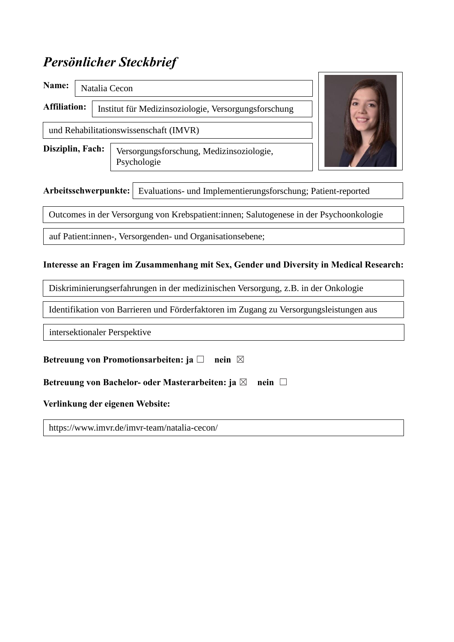## *Persönlicher Steckbrief*

**Name: Affiliation: Disziplin, Fach:**  Institut für Medizinsoziologie, Versorgungsforschung Natalia Cecon und Rehabilitationswissenschaft (IMVR) Versorgungsforschung, Medizinsoziologie,

Psychologie



**Arbeitsschwerpunkte:**  Evaluations- und Implementierungsforschung; Patient-reported

Outcomes in der Versorgung von Krebspatient:innen; Salutogenese in der Psychoonkologie

auf Patient:innen-, Versorgenden- und Organisationsebene;

## **Interesse an Fragen im Zusammenhang mit Sex, Gender und Diversity in Medical Research:**

Diskriminierungserfahrungen in der medizinischen Versorgung, z.B. in der Onkologie

Identifikation von Barrieren und Förderfaktoren im Zugang zu Versorgungsleistungen aus

intersektionaler Perspektive

| Betreuung von Promotionsarbeiten: ja $\square$ nein $\boxtimes$ |                         |
|-----------------------------------------------------------------|-------------------------|
| Betreuung von Bachelor- oder Masterarbeiten: ja $\boxtimes$     | $\mathbf{n}$ ein $\Box$ |
| Verlinkung der eigenen Website:                                 |                         |
| https://www.imvr.de/imvr-team/natalia-cecon/                    |                         |